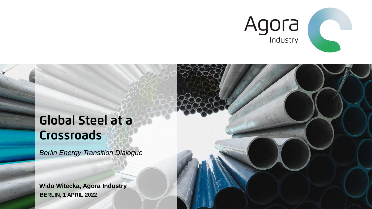

## **Global Steel at a** Crossroads

*Berlin Energy Transition Dialogue*

**BERLIN, 1 APRIL 2022 Wido Witecka, Agora Industry**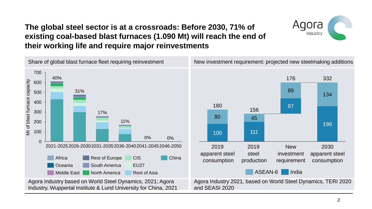### **The global steel sector is at a crossroads: Before 2030, 71% of existing coal-based blast furnaces (1.090 Mt) will reach the end of their working life and require major reinvestments**



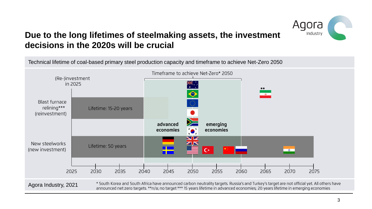

## **Due to the long lifetimes of steelmaking assets, the investment decisions in the 2020s will be crucial**

Technical lifetime of coal-based primary steel production capacity and timeframe to achieve Net-Zero 2050



\* South Korea and South Africa have announced carbon neutrality targets. Russia's and Turkey's target are not official yet. All others have Agora Industry, 2021announced net zero targets. \*\*n/a; no target \*\*\* 15 years lifetime in advanced economies; 20 years lifetime in emerging economies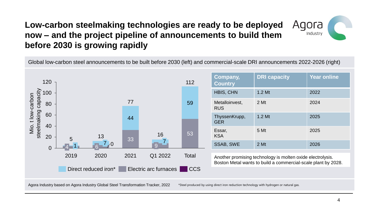## **Low-carbon steelmaking technologies are ready to be deployed now – and the project pipeline of announcements to build them before 2030 is growing rapidly**





\*Steel produced by using direct iron reduction technology with hydrogen or natural gas.

gora

Industry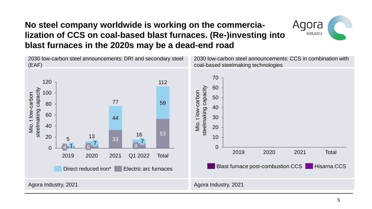## **No steel company worldwide is working on the commercialization of CCS on coal-based blast furnaces. (Re-)investing into blast furnaces in the 2020s may be a dead-end road**



Agora

Industry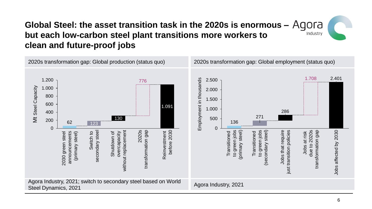#### **Global Steel: the asset transition task in the 2020s is enormous – but each low-carbon steel plant transitions more workers to** Industry **clean and future-proof jobs**

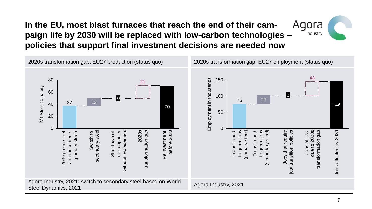## **In the EU, most blast furnaces that reach the end of their campaign life by 2030 will be replaced with low-carbon technologies – policies that support final investment decisions are needed now**



gora

Industry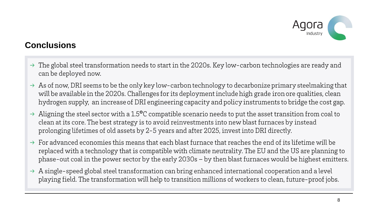

## **Conclusions**

- $\rightarrow$  The global steel transformation needs to start in the 2020s. Key low-carbon technologies are ready and can be deployed now.
- $\rightarrow$  As of now, DRI seems to be the only key low-carbon technology to decarbonize primary steelmaking that will be available in the 2020s. Challenges for its deployment include high grade iron ore qualities, clean hydrogen supply, an increase of DRI engineering capacity and policy instruments to bridge the cost gap.
- $\rightarrow$  Aligning the steel sector with a 1.5°C compatible scenario needs to put the asset transition from coal to clean at its core. The best strategy is to avoid reinvestments into new blast furnaces by instead prolonging lifetimes of old assets by 2-5 years and after 2025, invest into DRI directly.
- $\rightarrow$  For advanced economies this means that each blast furnace that reaches the end of its lifetime will be replaced with a technology that is compatible with climate neutrality. The EU and the US are planning to phase-out coal in the power sector by the early 2030s - by then blast furnaces would be highest emitters.
- $\rightarrow$  A single-speed global steel transformation can bring enhanced international cooperation and a level playing field. The transformation will help to transition millions of workers to clean, future-proof jobs.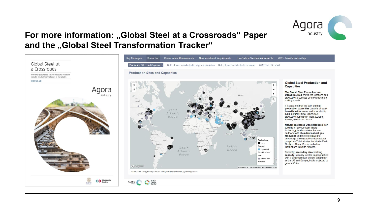

## **For more information: "Global Steel at a Crossroads" Paper** and the "Global Steel Transformation Tracker"